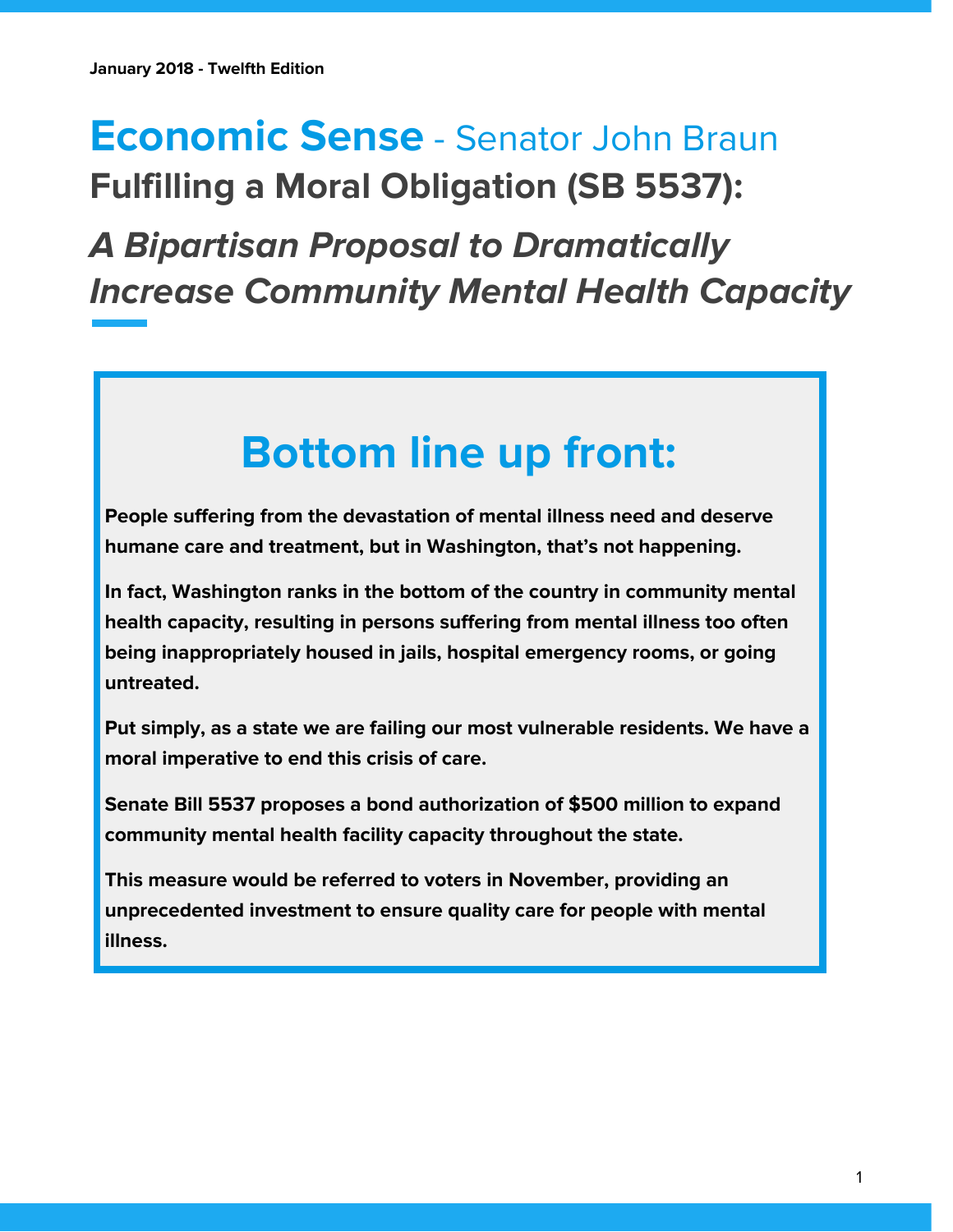## **Economic Sense** - Senator John Braun **Fulfilling a Moral Obligation (SB 5537):**

**A Bipartisan Proposal to Dramatically Increase Community Mental Health Capacity**

# **Bottom line up front:**

**People suffering from the devastation of mental illness need and deserve humane care and treatment, but in Washington, that's not happening.**

**In fact, Washington ranks in the bottom of the country in community mental health capacity, resulting in persons suffering from mental illness too often being inappropriately housed in jails, hospital emergency rooms, or going untreated.**

**Put simply, as a state we are failing our most vulnerable residents. We have a moral imperative to end this crisis of care.**

**Senate Bill 5537 proposes a bond authorization of \$500 million to expand community mental health facility capacity throughout the state.**

**This measure would be referred to voters in November, providing an unprecedented investment to ensure quality care for people with mental illness.**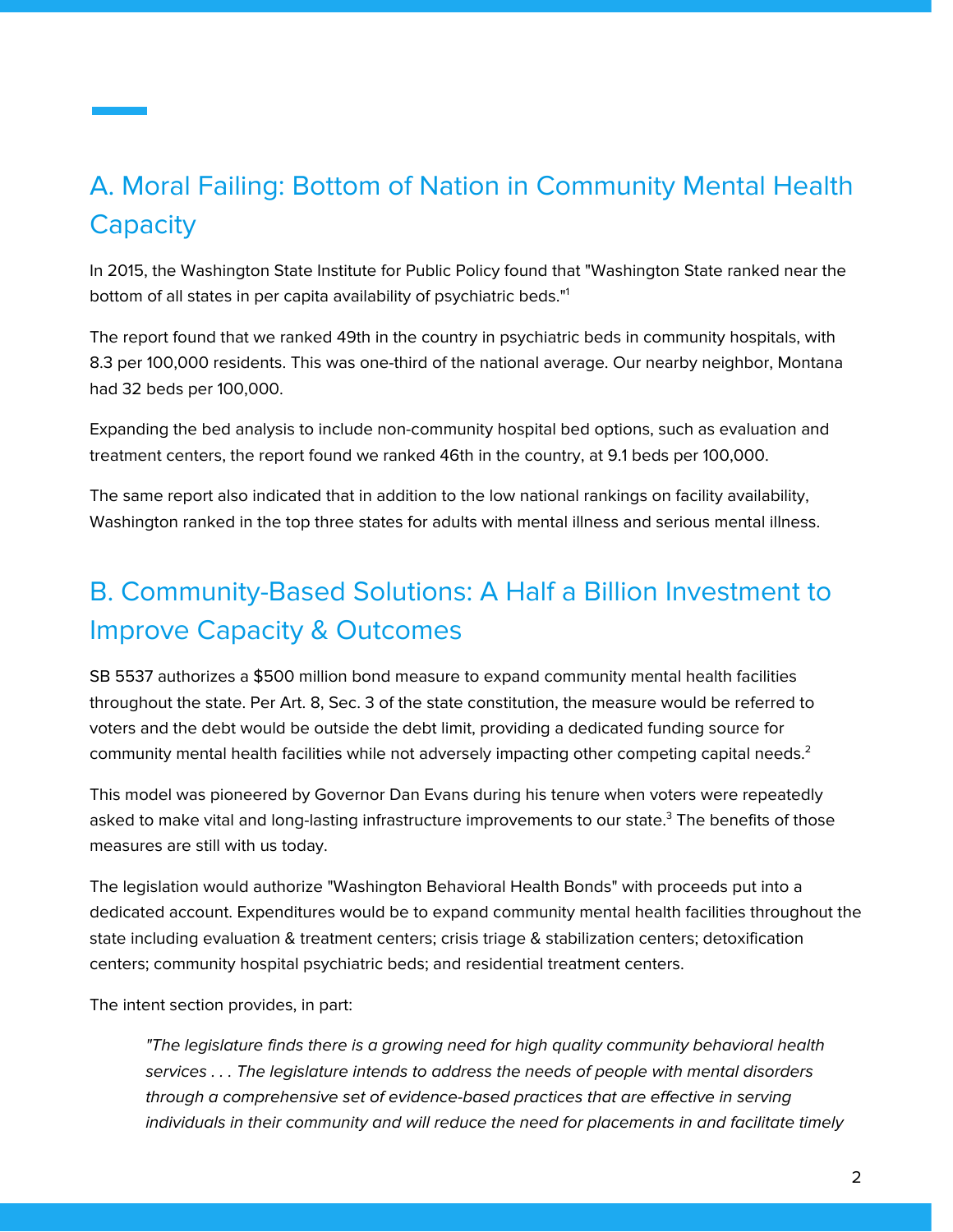### A. Moral Failing: Bottom of Nation in Community Mental Health **Capacity**

In 2015, the Washington State Institute for Public Policy found that "Washington State ranked near the bottom of all states in per capita availability of psychiatric beds." 1

The report found that we ranked 49th in the country in psychiatric beds in community hospitals, with 8.3 per 100,000 residents. This was one-third of the national average. Our nearby neighbor, Montana had 32 beds per 100,000.

Expanding the bed analysis to include non-community hospital bed options, such as evaluation and treatment centers, the report found we ranked 46th in the country, at 9.1 beds per 100,000.

The same report also indicated that in addition to the low national rankings on facility availability, Washington ranked in the top three states for adults with mental illness and serious mental illness.

### B. Community-Based Solutions: A Half a Billion Investment to Improve Capacity & Outcomes

SB 5537 authorizes a \$500 million bond measure to expand community mental health facilities throughout the state. Per Art. 8, Sec. 3 of the state constitution, the measure would be referred to voters and the debt would be outside the debt limit, providing a dedicated funding source for community mental health facilities while not adversely impacting other competing capital needs. 2

This model was pioneered by Governor Dan Evans during his tenure when voters were repeatedly asked to make vital and long-lasting infrastructure improvements to our state. <sup>3</sup> The benefits of those measures are still with us today.

The legislation would authorize "Washington Behavioral Health Bonds" with proceeds put into a dedicated account. Expenditures would be to expand community mental health facilities throughout the state including evaluation & treatment centers; crisis triage & stabilization centers; detoxification centers; community hospital psychiatric beds; and residential treatment centers.

The intent section provides, in part:

"The legislature finds there is a growing need for high quality community behavioral health services . . . The legislature intends to address the needs of people with mental disorders through a comprehensive set of evidence-based practices that are effective in serving individuals in their community and will reduce the need for placements in and facilitate timely